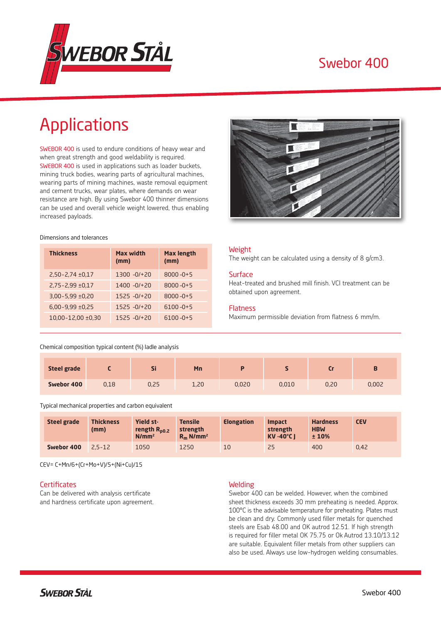

# Swebor 400

# Applications

SWEBOR 400 is used to endure conditions of heavy wear and when great strength and good weldability is required. SWEBOR 400 is used in applications such as loader buckets, mining truck bodies, wearing parts of agricultural machines, wearing parts of mining machines, waste removal equipment and cement trucks, wear plates, where demands on wear resistance are high. By using Swebor 400 thinner dimensions can be used and overall vehicle weight lowered, thus enabling increased payloads.

#### Dimensions and tolerances

| <b>Thickness</b>         | Max width<br>(mm) | <b>Max length</b><br>(mm) |
|--------------------------|-------------------|---------------------------|
| $2,50 - 2,74 \pm 0,17$   | $1300 - 0/120$    | $8000 - 0 + 5$            |
| $2.75 - 2.99 \pm 0.17$   | $1400 - 0/120$    | $8000 - 0 + 5$            |
| $3.00 - 5.99 \pm 0.20$   | $1525 - 0/120$    | $8000 - 0 + 5$            |
| $6,00-9,99 \pm 0,25$     | $1525 - 0/120$    | $6100 - 0 + 5$            |
| $10.00 - 12.00 \pm 0.30$ | $1525 - 0/120$    | $6100 - 0 + 5$            |



#### Weight

The weight can be calculated using a density of 8 g/cm3.

#### **Surface**

Heat-treated and brushed mill finish. VCI treatment can be obtained upon agreement.

#### Flatness

Maximum permissible deviation from flatness 6 mm/m.

## Chemical composition typical content (%) ladle analysis

| <b>Steel grade</b> |      | $-1$<br>וכ | Mn   |       |       |      | D.    |
|--------------------|------|------------|------|-------|-------|------|-------|
| Swebor 400         | 0,18 | 0,25       | 1,20 | 0,020 | 0,010 | 0,20 | 0,002 |

Typical mechanical properties and carbon equivalent

| <b>Steel grade</b> | <b>Thickness</b><br>(mm) | <b>Yield st-</b><br>rength $R_{p0.2}$<br>N/mm <sup>2</sup> | <b>Tensile</b><br>strength<br>$R_m$ N/mm <sup>2</sup> | <b>Elongation</b> | <b>Impact</b><br>strength<br><b>KV-40°C1</b> | <b>Hardness</b><br><b>HBW</b><br>±10% | <b>CEV</b> |
|--------------------|--------------------------|------------------------------------------------------------|-------------------------------------------------------|-------------------|----------------------------------------------|---------------------------------------|------------|
| Swebor 400         | $2.5 - 12$               | 1050                                                       | 1250                                                  | 10                | 25                                           | 400                                   | 0.42       |

CEV= C+Mn/6+(Cr+Mo+V)/5+(Ni+Cu)/15

#### **Certificates**

Can be delivered with analysis certificate and hardness certificate upon agreement.

#### Welding

Swebor 400 can be welded. However, when the combined sheet thickness exceeds 30 mm preheating is needed. Approx. 100°C is the advisable temperature for preheating. Plates must be clean and dry. Commonly used filler metals for quenched steels are Esab 48.00 and OK autrod 12.51. If high strength is required for filler metal OK 75.75 or Ok Autrod 13.10/13.12 are suitable. Equivalent filler metals from other suppliers can also be used. Always use low-hydrogen welding consumables.